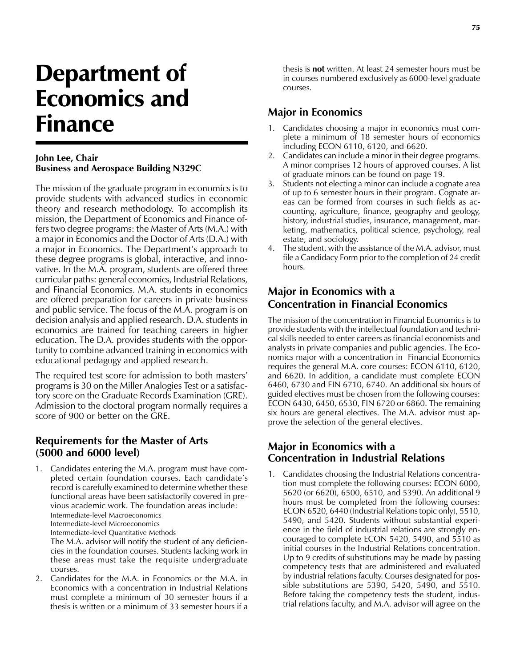# Department of Economics and Finance

#### **John Lee, Chair Business and Aerospace Building N329C**

The mission of the graduate program in economics is to provide students with advanced studies in economic theory and research methodology. To accomplish its mission, the Department of Economics and Finance offers two degree programs: the Master of Arts (M.A.) with a major in Economics and the Doctor of Arts (D.A.) with a major in Economics. The Department's approach to these degree programs is global, interactive, and innovative. In the M.A. program, students are offered three curricular paths: general economics, Industrial Relations, and Financial Economics. M.A. students in economics are offered preparation for careers in private business and public service. The focus of the M.A. program is on decision analysis and applied research. D.A. students in economics are trained for teaching careers in higher education. The D.A. provides students with the opportunity to combine advanced training in economics with educational pedagogy and applied research.

The required test score for admission to both masters' programs is 30 on the Miller Analogies Test or a satisfactory score on the Graduate Records Examination (GRE). Admission to the doctoral program normally requires a score of 900 or better on the GRE.

### **Requirements for the Master of Arts (5000 and 6000 level)**

1. Candidates entering the M.A. program must have completed certain foundation courses. Each candidate's record is carefully examined to determine whether these functional areas have been satisfactorily covered in previous academic work. The foundation areas include: Intermediate-level Macroeconomics Intermediate-level Microeconomics Intermediate-level Quantitative Methods The M.A. advisor will notify the student of any deficiencies in the foundation courses. Students lacking work in

these areas must take the requisite undergraduate courses.

2. Candidates for the M.A. in Economics or the M.A. in Economics with a concentration in Industrial Relations must complete a minimum of 30 semester hours if a thesis is written or a minimum of 33 semester hours if a

thesis is **not** written. At least 24 semester hours must be in courses numbered exclusively as 6000-level graduate courses.

# **Major in Economics**

- 1. Candidates choosing a major in economics must complete a minimum of 18 semester hours of economics including ECON 6110, 6120, and 6620.
- 2. Candidates can include a minor in their degree programs. A minor comprises 12 hours of approved courses. A list of graduate minors can be found on page 19.
- 3. Students not electing a minor can include a cognate area of up to 6 semester hours in their program. Cognate areas can be formed from courses in such fields as accounting, agriculture, finance, geography and geology, history, industrial studies, insurance, management, marketing, mathematics, political science, psychology, real estate, and sociology.
- The student, with the assistance of the M.A. advisor, must file a Candidacy Form prior to the completion of 24 credit hours.

## **Major in Economics with a Concentration in Financial Economics**

The mission of the concentration in Financial Economics is to provide students with the intellectual foundation and technical skills needed to enter careers as financial economists and analysts in private companies and public agencies. The Economics major with a concentration in Financial Economics requires the general M.A. core courses: ECON 6110, 6120, and 6620. In addition, a candidate must complete ECON 6460, 6730 and FIN 6710, 6740. An additional six hours of guided electives must be chosen from the following courses: ECON 6430, 6450, 6530, FIN 6720 or 6860. The remaining six hours are general electives. The M.A. advisor must approve the selection of the general electives.

## **Major in Economics with a Concentration in Industrial Relations**

1. Candidates choosing the Industrial Relations concentration must complete the following courses: ECON 6000, 5620 (or 6620), 6500, 6510, and 5390. An additional 9 hours must be completed from the following courses: ECON 6520, 6440 (Industrial Relations topic only), 5510, 5490, and 5420. Students without substantial experience in the field of industrial relations are strongly encouraged to complete ECON 5420, 5490, and 5510 as initial courses in the Industrial Relations concentration. Up to 9 credits of substitutions may be made by passing competency tests that are administered and evaluated by industrial relations faculty. Courses designated for possible substitutions are 5390, 5420, 5490, and 5510. Before taking the competency tests the student, industrial relations faculty, and M.A. advisor will agree on the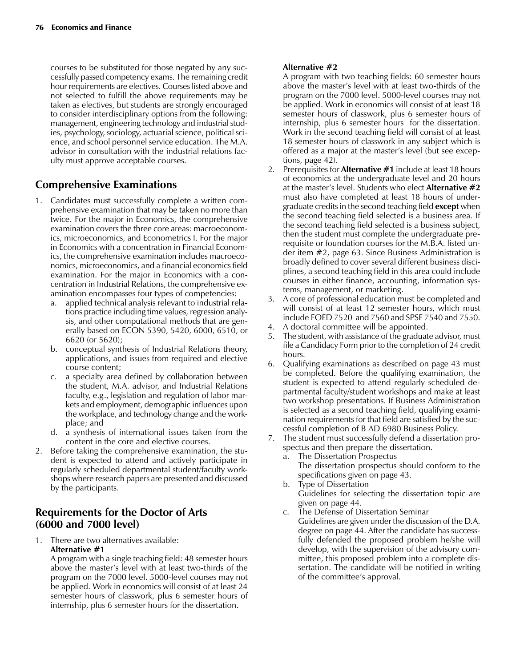courses to be substituted for those negated by any successfully passed competency exams. The remaining credit hour requirements are electives. Courses listed above and not selected to fulfill the above requirements may be taken as electives, but students are strongly encouraged to consider interdisciplinary options from the following: management, engineering technology and industrial studies, psychology, sociology, actuarial science, political science, and school personnel service education. The M.A. advisor in consultation with the industrial relations faculty must approve acceptable courses.

# **Comprehensive Examinations**

- 1. Candidates must successfully complete a written comprehensive examination that may be taken no more than twice. For the major in Economics, the comprehensive examination covers the three core areas: macroeconomics, microeconomics, and Econometrics I. For the major in Economics with a concentration in Financial Economics, the comprehensive examination includes macroeconomics, microeconomics, and a financial economics field examination. For the major in Economics with a concentration in Industrial Relations, the comprehensive examination encompasses four types of competencies:
	- a. applied technical analysis relevant to industrial relations practice including time values, regression analysis, and other computational methods that are generally based on ECON 5390, 5420, 6000, 6510, or 6620 (or 5620);
	- b. conceptual synthesis of Industrial Relations theory, applications, and issues from required and elective course content;
	- c. a specialty area defined by collaboration between the student, M.A. advisor, and Industrial Relations faculty, e.g., legislation and regulation of labor markets and employment, demographic influences upon the workplace, and technology change and the workplace; and
	- d. a synthesis of international issues taken from the content in the core and elective courses.
- 2. Before taking the comprehensive examination, the student is expected to attend and actively participate in regularly scheduled departmental student/faculty workshops where research papers are presented and discussed by the participants.

## **Requirements for the Doctor of Arts (6000 and 7000 level)**

1. There are two alternatives available: **Alternative #1**

A program with a single teaching field: 48 semester hours above the master's level with at least two-thirds of the program on the 7000 level. 5000-level courses may not be applied. Work in economics will consist of at least 24 semester hours of classwork, plus 6 semester hours of internship, plus 6 semester hours for the dissertation.

#### **Alternative #2**

A program with two teaching fields: 60 semester hours above the master's level with at least two-thirds of the program on the 7000 level. 5000-level courses may not be applied. Work in economics will consist of at least 18 semester hours of classwork, plus 6 semester hours of internship, plus 6 semester hours for the dissertation. Work in the second teaching field will consist of at least 18 semester hours of classwork in any subject which is offered as a major at the master's level (but see exceptions, page 42).

- 2. Prerequisites for **Alternative #1** include at least 18 hours of economics at the undergraduate level and 20 hours at the master's level. Students who elect **Alternative #2** must also have completed at least 18 hours of undergraduate credits in the second teaching field **except** when the second teaching field selected is a business area. If the second teaching field selected is a business subject, then the student must complete the undergraduate prerequisite or foundation courses for the M.B.A. listed under item #2, page 63. Since Business Administration is broadly defined to cover several different business disciplines, a second teaching field in this area could include courses in either finance, accounting, information systems, management, or marketing.
- 3. A core of professional education must be completed and will consist of at least 12 semester hours, which must include FOED 7520 and 7560 and SPSE 7540 and 7550.
- 4. A doctoral committee will be appointed.
- 5. The student, with assistance of the graduate advisor, must file a Candidacy Form prior to the completion of 24 credit hours.
- 6. Qualifying examinations as described on page 43 must be completed. Before the qualifying examination, the student is expected to attend regularly scheduled departmental faculty/student workshops and make at least two workshop presentations. If Business Administration is selected as a second teaching field, qualifying examination requirements for that field are satisfied by the successful completion of B AD 6980 Business Policy.
- 7. The student must successfully defend a dissertation prospectus and then prepare the dissertation.
	- a. The Dissertation Prospectus The dissertation prospectus should conform to the specifications given on page 43.
	- b. Type of Dissertation Guidelines for selecting the dissertation topic are given on page 44.
	- c. The Defense of Dissertation Seminar Guidelines are given under the discussion of the D.A. degree on page 44. After the candidate has successfully defended the proposed problem he/she will develop, with the supervision of the advisory committee, this proposed problem into a complete dissertation. The candidate will be notified in writing of the committee's approval.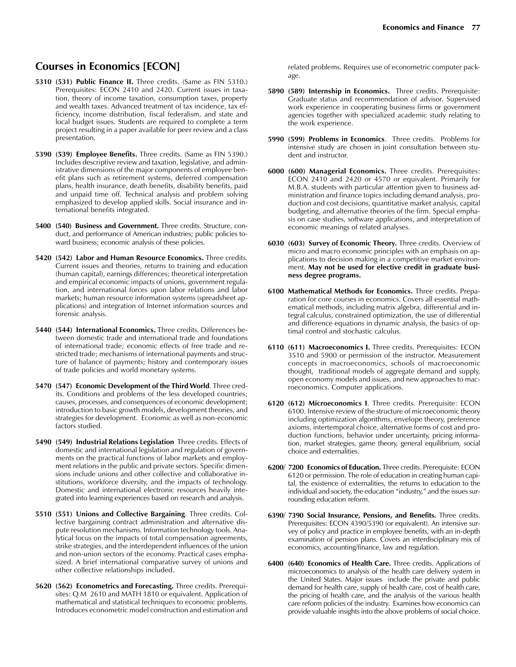### **Courses in Economics [ECON]**

- **5310 (531) Public Finance II.** Three credits. (Same as FIN 5310.) Prerequisites: ECON 2410 and 2420. Current issues in taxation, theory of income taxation, consumption taxes, property and wealth taxes. Advanced treatment of tax incidence, tax efficiency, income distribution, fiscal federalism, and state and local budget issues. Students are required to complete a term project resulting in a paper available for peer review and a class presentation.
- **5390 (539) Employee Benefits.** Three credits. (Same as FIN 5390.) Includes descriptive review and taxation, legislative, and administrative dimensions of the major components of employee benefit plans such as retirement systems, deferred compensation plans, health insurance, death benefits, disability benefits, paid and unpaid time off. Technical analysis and problem solving emphasized to develop applied skills. Social insurance and international benefits integrated.
- **5400 (540) Business and Government.** Three credits. Structure, conduct, and performance of American industries; public policies toward business; economic analysis of these policies.
- **5420 (542) Labor and Human Resource Economics.** Three credits. Current issues and theories, returns to training and education (human capital), earnings differences; theoretical interpretation and empirical economic impacts of unions, government regulation, and international forces upon labor relations and labor markets; human resource information systems (spreadsheet applications) and integration of Internet information sources and forensic analysis.
- **5440 (544) International Economics.** Three credits. Differences between domestic trade and international trade and foundations of international trade; economic effects of free trade and restricted trade; mechanisms of international payments and structure of balance of payments; history and contemporary issues of trade policies and world monetary systems.
- **5470 (547) Economic Development of the Third World**. Three credits. Conditions and problems of the less developed countries; causes, processes, and consequences of economic development; introduction to basic growth models, development theories, and strategies for development. Economic as well as non-economic factors studied.
- **5490 (549) Industrial Relations Legislation** Three credits. Effects of domestic and international legislation and regulation of governments on the practical functions of labor markets and employment relations in the public and private sectors. Specific dimensions include unions and other collective and collaborative institutions, workforce diversity, and the impacts of technology. Domestic and international electronic resources heavily integrated into learning experiences based on research and analysis.
- **5510 (551) Unions and Collective Bargaining**. Three credits. Collective bargaining contract administration and alternative dispute resolution mechanisms. Information technology tools. Analytical focus on the impacts of total compensation agreements, strike strategies, and the interdependent influences of the union and non-union sectors of the economy. Practical cases emphasized. A brief international comparative survey of unions and other collective relationships included.
- **5620 (562) Econometrics and Forecasting.** Three credits. Prerequisites: Q M 2610 and MATH 1810 or equivalent. Application of mathematical and statistical techniques to economic problems. Introduces econometric model construction and estimation and

related problems. Requires use of econometric computer package.

- **5890 (589) Internship in Economics.** Three credits. Prerequisite: Graduate status and recommendation of advisor. Supervised work experience in cooperating business firms or government agencies together with specialized academic study relating to the work experience.
- **5990 (599) Problems in Economics**. Three credits. Problems for intensive study are chosen in joint consultation between student and instructor.
- **6000 (600) Managerial Economics.** Three credits. Prerequisites: ECON 2410 and 2420 or 4570 or equivalent. Primarily for M.B.A. students with particular attention given to business administration and finance topics including demand analysis, production and cost decisions, quantitative market analysis, capital budgeting, and alternative theories of the firm. Special emphasis on case studies, software applications, and interpretation of economic meanings of related analyses.
- **6030 (603) Survey of Economic Theory.** Three credits. Overview of micro and macro economic principles with an emphasis on applications to decision making in a competitive market environment. **May not be used for elective credit in graduate business degree programs.**
- **6100 Mathematical Methods for Economics.** Three credits. Preparation for core courses in economics. Covers all essential mathematical methods, including matrix algebra, differential and integral calculus, constrained optimization, the use of differential and difference equations in dynamic analysis, the basics of optimal control and stochastic calculus.
- **6110 (611) Macroeconomics I.** Three credits. Prerequisites: ECON 3510 and 5900 or permission of the instructor. Measurement concepts in macroeconomics, schools of macroeconomic thought, traditional models of aggregate demand and supply, open economy models and issues, and new approaches to macroeconomics. Computer applications.
- **6120 (612) Microeconomics I**. Three credits. Prerequisite: ECON 6100. Intensive review of the structure of microeconomic theory including optimization algorithms, envelope theory, preference axioms, intertemporal choice, alternative forms of cost and production functions, behavior under uncertainty, pricing information, market strategies, game theory, general equilibrium, social choice and externalities.
- **6200/ 7200 Economics of Education.** Three credits. Prerequisite: ECON 6120 or permission. The role of education in creating human capital, the existence of externalities, the returns to education to the individual and society, the education "industry," and the issues surrounding education reform.
- **6390/ 7390 Social Insurance, Pensions, and Benefits.** Three credits. Prerequisites: ECON 4390/5390 (or equivalent). An intensive survey of policy and practice in employee benefits, with an in-depth examination of pension plans. Covers an interdisciplinary mix of economics, accounting/finance, law and regulation.
- **6400 (640) Economics of Health Care.** Three credits. Applications of microeconomics to analysis of the health care delivery system in the United States. Major issues include the private and public demand for health care, supply of health care, cost of health care, the pricing of health care, and the analysis of the various health care reform policies of the industry. Examines how economics can provide valuable insights into the above problems of social choice.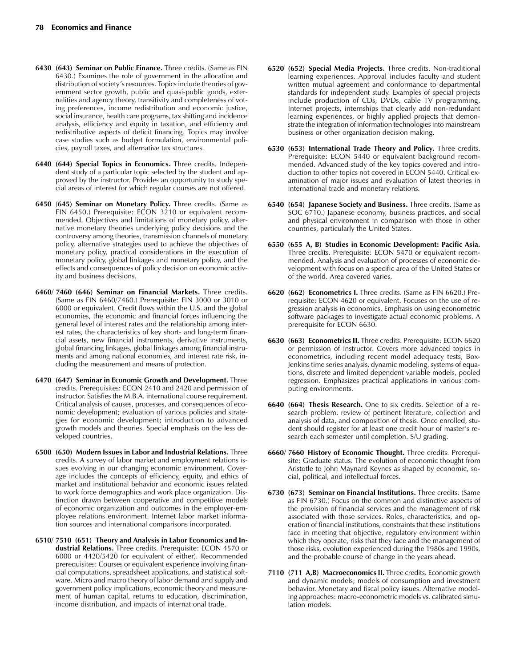- **6430 (643) Seminar on Public Finance.** Three credits. (Same as FIN 6430.) Examines the role of government in the allocation and distribution of society's resources. Topics include theories of government sector growth, public and quasi-public goods, externalities and agency theory, transitivity and completeness of voting preferences, income redistribution and economic justice, social insurance, health care programs, tax shifting and incidence analysis, efficiency and equity in taxation, and efficiency and redistributive aspects of deficit financing. Topics may involve case studies such as budget formulation, environmental policies, payroll taxes, and alternative tax structures.
- **6440 (644) Special Topics in Economics.** Three credits. Independent study of a particular topic selected by the student and approved by the instructor. Provides an opportunity to study special areas of interest for which regular courses are not offered.
- **6450** (**645) Seminar on Monetary Policy.** Three credits. (Same as FIN 6450.) Prerequisite: ECON 3210 or equivalent recommended. Objectives and limitations of monetary policy, alternative monetary theories underlying policy decisions and the controversy among theories, transmission channels of monetary policy, alternative strategies used to achieve the objectives of monetary policy, practical considerations in the execution of monetary policy, global linkages and monetary policy, and the effects and consequences of policy decision on economic activity and business decisions.
- **6460/ 7460 (646) Seminar on Financial Markets.** Three credits. (Same as FIN 6460/7460.) Prerequisite: FIN 3000 or 3010 or 6000 or equivalent. Credit flows within the U.S. and the global economies, the economic and financial forces influencing the general level of interest rates and the relationship among interest rates, the characteristics of key short- and long-term financial assets, new financial instruments, derivative instruments, global financing linkages, global linkages among financial instruments and among national economies, and interest rate risk, including the measurement and means of protection.
- **6470 (647) Seminar in Economic Growth and Development.** Three credits. Prerequisites: ECON 2410 and 2420 and permission of instructor. Satisfies the M.B.A. international course requirement. Critical analysis of causes, processes, and consequences of economic development; evaluation of various policies and strategies for economic development; introduction to advanced growth models and theories. Special emphasis on the less developed countries.
- **6500 (650) Modern Issues in Labor and Industrial Relations.** Three credits. A survey of labor market and employment relations issues evolving in our changing economic environment. Coverage includes the concepts of efficiency, equity, and ethics of market and institutional behavior and economic issues related to work force demographics and work place organization. Distinction drawn between cooperative and competitive models of economic organization and outcomes in the employer-employee relations environment. Internet labor market information sources and international comparisons incorporated.
- **6510/ 7510 (651) Theory and Analysis in Labor Economics and Industrial Relations.** Three credits. Prerequisite: ECON 4570 or 6000 or 4420/5420 (or equivalent of either). Recommended prerequisites: Courses or equivalent experience involving financial computations, spreadsheet applications, and statistical software. Micro and macro theory of labor demand and supply and government policy implications, economic theory and measurement of human capital, returns to education, discrimination, income distribution, and impacts of international trade.
- **6520 (652) Special Media Projects.** Three credits. Non-traditional learning experiences. Approval includes faculty and student written mutual agreement and conformance to departmental standards for independent study. Examples of special projects include production of CDs, DVDs, cable TV programming, Internet projects, internships that clearly add non-redundant learning experiences, or highly applied projects that demonstrate the integration of information technologies into mainstream business or other organization decision making.
- **6530 (653) International Trade Theory and Policy.** Three credits. Prerequisite: ECON 5440 or equivalent background recommended. Advanced study of the key topics covered and introduction to other topics not covered in ECON 5440. Critical examination of major issues and evaluation of latest theories in international trade and monetary relations.
- **6540 (654) Japanese Society and Business.** Three credits. (Same as SOC 6710.) Japanese economy, business practices, and social and physical environment in comparison with those in other countries, particularly the United States.
- **6550 (655 A, B) Studies in Economic Development: Pacific Asia.** Three credits. Prerequisite: ECON 5470 or equivalent recommended. Analysis and evaluation of processes of economic development with focus on a specific area of the United States or of the world. Area covered varies.
- **6620 (662) Econometrics I.** Three credits. (Same as FIN 6620.) Prerequisite: ECON 4620 or equivalent. Focuses on the use of regression analysis in economics. Emphasis on using econometric software packages to investigate actual economic problems. A prerequisite for ECON 6630.
- **6630 (663) Econometrics II.** Three credits. Prerequisite: ECON 6620 or permission of instructor. Covers more advanced topics in econometrics, including recent model adequacy tests, Box-Jenkins time series analysis, dynamic modeling, systems of equations, discrete and limited dependent variable models, pooled regression. Emphasizes practical applications in various computing environments.
- **6640 (664) Thesis Research.** One to six credits. Selection of a research problem, review of pertinent literature, collection and analysis of data, and composition of thesis. Once enrolled, student should register for at least one credit hour of master's research each semester until completion. S/U grading.
- **6660/ 7660 History of Economic Thought.** Three credits. Prerequisite: Graduate status. The evolution of economic thought from Aristotle to John Maynard Keynes as shaped by economic, social, political, and intellectual forces.
- **6730 (673) Seminar on Financial Institutions.** Three credits. (Same as FIN 6730.) Focus on the common and distinctive aspects of the provision of financial services and the management of risk associated with those services. Roles, characteristics, and operation of financial institutions, constraints that these institutions face in meeting that objective, regulatory environment within which they operate, risks that they face and the management of those risks, evolution experienced during the 1980s and 1990s, and the probable course of change in the years ahead.
- **7110 (711 A,B) Macroeconomics II.** Three credits. Economic growth and dynamic models; models of consumption and investment behavior. Monetary and fiscal policy issues. Alternative modeling approaches: macro-econometric models vs. calibrated simulation models.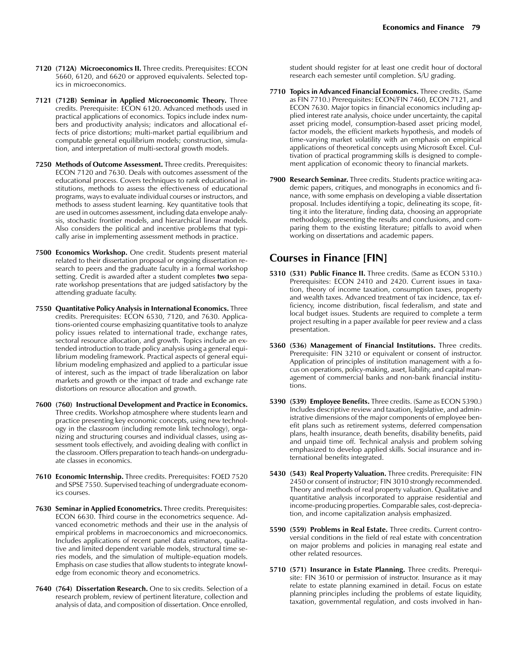- **7120 (712A) Microeconomics II.** Three credits. Prerequisites: ECON 5660, 6120, and 6620 or approved equivalents. Selected topics in microeconomics.
- **7121 (712B) Seminar in Applied Microeconomic Theory.** Three credits. Prerequisite: ECON 6120. Advanced methods used in practical applications of economics. Topics include index numbers and productivity analysis; indicators and allocational effects of price distortions; multi-market partial equilibrium and computable general equilibrium models; construction, simulation, and interpretation of multi-sectoral growth models.
- **7250 Methods of Outcome Assessment.** Three credits. Prerequisites: ECON 7120 and 7630. Deals with outcomes assessment of the educational process. Covers techniques to rank educational institutions, methods to assess the effectiveness of educational programs, ways to evaluate individual courses or instructors, and methods to assess student learning. Key quantitative tools that are used in outcomes assessment, including data envelope analysis, stochastic frontier models, and hierarchical linear models. Also considers the political and incentive problems that typically arise in implementing assessment methods in practice.
- **7500 Economics Workshop.** One credit. Students present material related to their dissertation proposal or ongoing dissertation research to peers and the graduate faculty in a formal workshop setting. Credit is awarded after a student completes **two** separate workshop presentations that are judged satisfactory by the attending graduate faculty.
- **7550 Quantitative Policy Analysis in International Economics.** Three credits. Prerequisites: ECON 6530, 7120, and 7630. Applications-oriented course emphasizing quantitative tools to analyze policy issues related to international trade, exchange rates, sectoral resource allocation, and growth. Topics include an extended introduction to trade policy analysis using a general equilibrium modeling framework. Practical aspects of general equilibrium modeling emphasized and applied to a particular issue of interest, such as the impact of trade liberalization on labor markets and growth or the impact of trade and exchange rate distortions on resource allocation and growth.
- **7600 (760) Instructional Development and Practice in Economics.** Three credits. Workshop atmosphere where students learn and practice presenting key economic concepts, using new technology in the classroom (including remote link technology), organizing and structuring courses and individual classes, using assessment tools effectively, and avoiding dealing with conflict in the classroom. Offers preparation to teach hands-on undergraduate classes in economics.
- **7610 Economic Internship.** Three credits. Prerequisites: FOED 7520 and SPSE 7550. Supervised teaching of undergraduate economics courses.
- **7630 Seminar in Applied Econometrics.** Three credits. Prerequisites: ECON 6630. Third course in the econometrics sequence. Advanced econometric methods and their use in the analysis of empirical problems in macroeconomics and microeconomics. Includes applications of recent panel data estimators, qualitative and limited dependent variable models, structural time series models, and the simulation of multiple-equation models. Emphasis on case studies that allow students to integrate knowledge from economic theory and econometrics.
- **7640 (764) Dissertation Research.** One to six credits. Selection of a research problem, review of pertinent literature, collection and analysis of data, and composition of dissertation. Once enrolled,

student should register for at least one credit hour of doctoral research each semester until completion. S/U grading.

- **7710 Topics in Advanced Financial Economics.** Three credits. (Same as FIN 7710.) Prerequisites: ECON/FIN 7460, ECON 7121, and ECON 7630. Major topics in financial economics including applied interest rate analysis, choice under uncertainty, the capital asset pricing model, consumption-based asset pricing model, factor models, the efficient markets hypothesis, and models of time-varying market volatility with an emphasis on empirical applications of theoretical concepts using Microsoft Excel. Cultivation of practical programming skills is designed to complement application of economic theory to financial markets.
- **7900 Research Seminar.** Three credits. Students practice writing academic papers, critiques, and monographs in economics and finance, with some emphasis on developing a viable dissertation proposal. Includes identifying a topic, delineating its scope, fitting it into the literature, finding data, choosing an appropriate methodology, presenting the results and conclusions, and comparing them to the existing literature; pitfalls to avoid when working on dissertations and academic papers.

#### **Courses in Finance [FIN]**

- **5310 (531) Public Finance II.** Three credits. (Same as ECON 5310.) Prerequisites: ECON 2410 and 2420. Current issues in taxation, theory of income taxation, consumption taxes, property and wealth taxes. Advanced treatment of tax incidence, tax efficiency, income distribution, fiscal federalism, and state and local budget issues. Students are required to complete a term project resulting in a paper available for peer review and a class presentation.
- **5360 (536) Management of Financial Institutions.** Three credits. Prerequisite: FIN 3210 or equivalent or consent of instructor. Application of principles of institution management with a focus on operations, policy-making, asset, liability, and capital management of commercial banks and non-bank financial institutions.
- **5390 (539) Employee Benefits.** Three credits. (Same as ECON 5390.) Includes descriptive review and taxation, legislative, and administrative dimensions of the major components of employee benefit plans such as retirement systems, deferred compensation plans, health insurance, death benefits, disability benefits, paid and unpaid time off. Technical analysis and problem solving emphasized to develop applied skills. Social insurance and international benefits integrated.
- **5430 (543) Real Property Valuation.** Three credits. Prerequisite: FIN 2450 or consent of instructor; FIN 3010 strongly recommended. Theory and methods of real property valuation. Qualitative and quantitative analysis incorporated to appraise residential and income-producing properties. Comparable sales, cost-depreciation, and income capitalization analysis emphasized.
- **5590 (559) Problems in Real Estate.** Three credits. Current controversial conditions in the field of real estate with concentration on major problems and policies in managing real estate and other related resources.
- **5710 (571) Insurance in Estate Planning.** Three credits. Prerequisite: FIN 3610 or permission of instructor. Insurance as it may relate to estate planning examined in detail. Focus on estate planning principles including the problems of estate liquidity, taxation, governmental regulation, and costs involved in han-